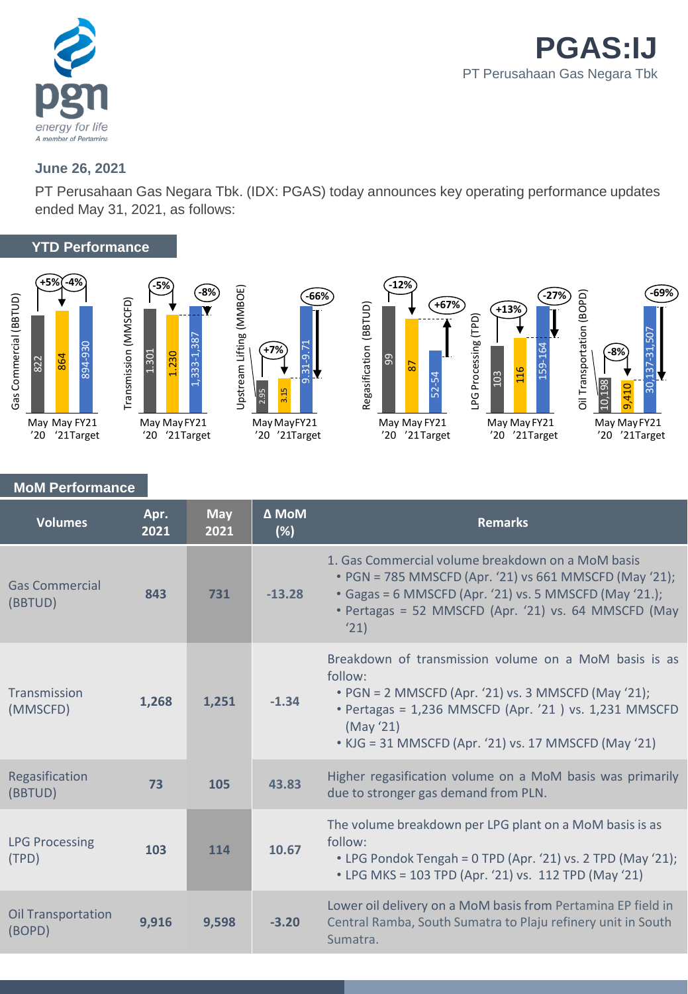

## **June 26, 2021**

PT Perusahaan Gas Negara Tbk. (IDX: PGAS) today announces key operating performance updates ended May 31, 2021, as follows:

## **YTD Performance**









## **MoM Performance**

| <b>Volumes</b>                      | Apr.<br>2021 | <b>May</b><br>2021 | $\Delta$ MoM<br>(%) | <b>Remarks</b>                                                                                                                                                                                                                                        |
|-------------------------------------|--------------|--------------------|---------------------|-------------------------------------------------------------------------------------------------------------------------------------------------------------------------------------------------------------------------------------------------------|
| <b>Gas Commercial</b><br>(BBTUD)    | 843          | 731                | $-13.28$            | 1. Gas Commercial volume breakdown on a MoM basis<br>• PGN = 785 MMSCFD (Apr. '21) vs 661 MMSCFD (May '21);<br>• Gagas = 6 MMSCFD (Apr. '21) vs. 5 MMSCFD (May '21.);<br>· Pertagas = 52 MMSCFD (Apr. '21) vs. 64 MMSCFD (May<br>'21)                 |
| Transmission<br>(MMSCFD)            | 1,268        | 1.251              | $-1.34$             | Breakdown of transmission volume on a MoM basis is as<br>follow:<br>• PGN = 2 MMSCFD (Apr. '21) vs. 3 MMSCFD (May '21);<br>• Pertagas = 1,236 MMSCFD (Apr. '21 ) vs. 1,231 MMSCFD<br>(May'21)<br>• KJG = 31 MMSCFD (Apr. '21) vs. 17 MMSCFD (May '21) |
| Regasification<br>(BBTUD)           | 73           | 105                | 43.83               | Higher regasification volume on a MoM basis was primarily<br>due to stronger gas demand from PLN.                                                                                                                                                     |
| <b>LPG Processing</b><br>(TPD)      | 103          | 114                | 10.67               | The volume breakdown per LPG plant on a MoM basis is as<br>follow:<br>• LPG Pondok Tengah = 0 TPD (Apr. '21) vs. 2 TPD (May '21);<br>• LPG MKS = 103 TPD (Apr. '21) vs. 112 TPD (May '21)                                                             |
| <b>Oil Transportation</b><br>(BOPD) | 9,916        | 9,598              | $-3.20$             | Lower oil delivery on a MoM basis from Pertamina EP field in<br>Central Ramba, South Sumatra to Plaju refinery unit in South<br>Sumatra.                                                                                                              |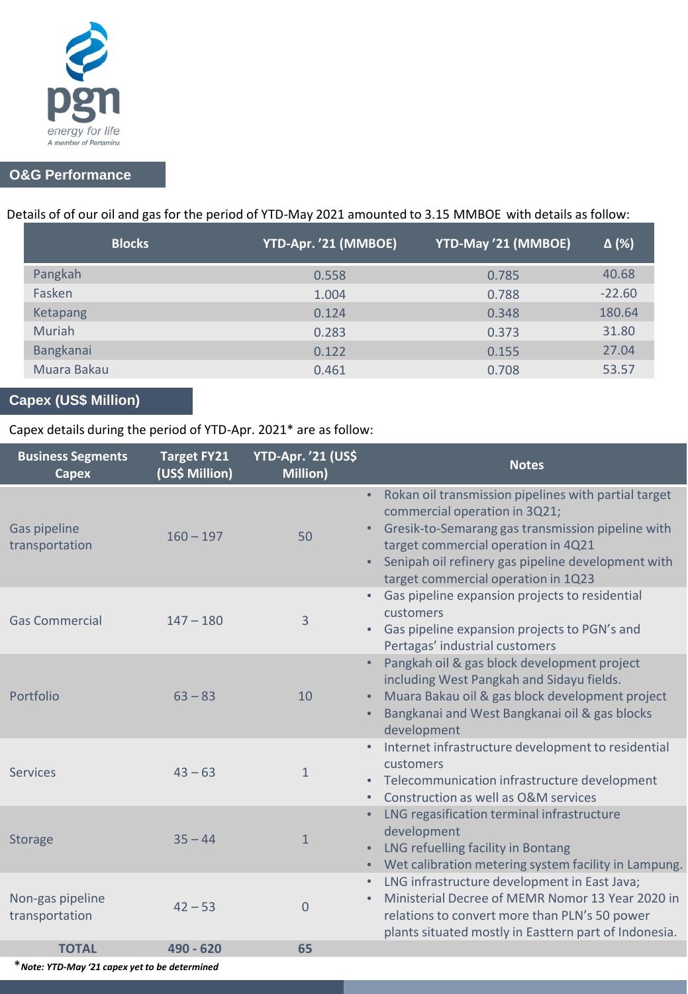

## **O&G Performance**

# Details of of our oil and gas for the period of YTD-May 2021 amounted to 3.15 MMBOE with details as follow:

| <b>Blocks</b> | YTD-Apr. '21 (MMBOE) | YTD-May '21 (MMBOE) | $\Delta$ (%) |
|---------------|----------------------|---------------------|--------------|
| Pangkah       | 0.558                | 0.785               | 40.68        |
| Fasken        | 1.004                | 0.788               | $-22.60$     |
| Ketapang      | 0.124                | 0.348               | 180.64       |
| Muriah        | 0.283                | 0.373               | 31.80        |
| Bangkanai     | 0.122                | 0.155               | 27.04        |
| Muara Bakau   | 0.461                | 0.708               | 53.57        |

# **Capex (US\$ Million)**

## Capex details during the period of YTD-Apr. 2021\* are as follow:

| <b>Business Segments</b><br><b>Capex</b> | <b>Target FY21</b><br>(US\$ Million) | <b>YTD-Apr. '21 (US\$</b><br>Million) | <b>Notes</b>                                                                                                                                                                                                                                                                                  |
|------------------------------------------|--------------------------------------|---------------------------------------|-----------------------------------------------------------------------------------------------------------------------------------------------------------------------------------------------------------------------------------------------------------------------------------------------|
| Gas pipeline<br>transportation           | $160 - 197$                          | 50                                    | Rokan oil transmission pipelines with partial target<br>$\bullet$ .<br>commercial operation in 3Q21;<br>Gresik-to-Semarang gas transmission pipeline with<br>target commercial operation in 4Q21<br>Senipah oil refinery gas pipeline development with<br>target commercial operation in 1Q23 |
| <b>Gas Commercial</b>                    | $147 - 180$                          | 3                                     | Gas pipeline expansion projects to residential<br>customers<br>Gas pipeline expansion projects to PGN's and<br>Pertagas' industrial customers                                                                                                                                                 |
| Portfolio                                | $63 - 83$                            | 10                                    | Pangkah oil & gas block development project<br>including West Pangkah and Sidayu fields.<br>Muara Bakau oil & gas block development project<br>Bangkanai and West Bangkanai oil & gas blocks<br>development                                                                                   |
| <b>Services</b>                          | $43 - 63$                            | $\mathbf{1}$                          | Internet infrastructure development to residential<br>customers<br>• Telecommunication infrastructure development<br>Construction as well as O&M services                                                                                                                                     |
| <b>Storage</b>                           | $35 - 44$                            | $\mathbf{1}$                          | LNG regasification terminal infrastructure<br>development<br>LNG refuelling facility in Bontang<br>• Wet calibration metering system facility in Lampung.                                                                                                                                     |
| Non-gas pipeline<br>transportation       | $42 - 53$                            | $\Omega$                              | LNG infrastructure development in East Java;<br>$\bullet$<br>Ministerial Decree of MEMR Nomor 13 Year 2020 in<br>relations to convert more than PLN's 50 power<br>plants situated mostly in Easttern part of Indonesia.                                                                       |
| <b>TOTAL</b>                             | 490 - 620                            | 65                                    |                                                                                                                                                                                                                                                                                               |

\**Note: YTD-May '21 capex yet to be determined*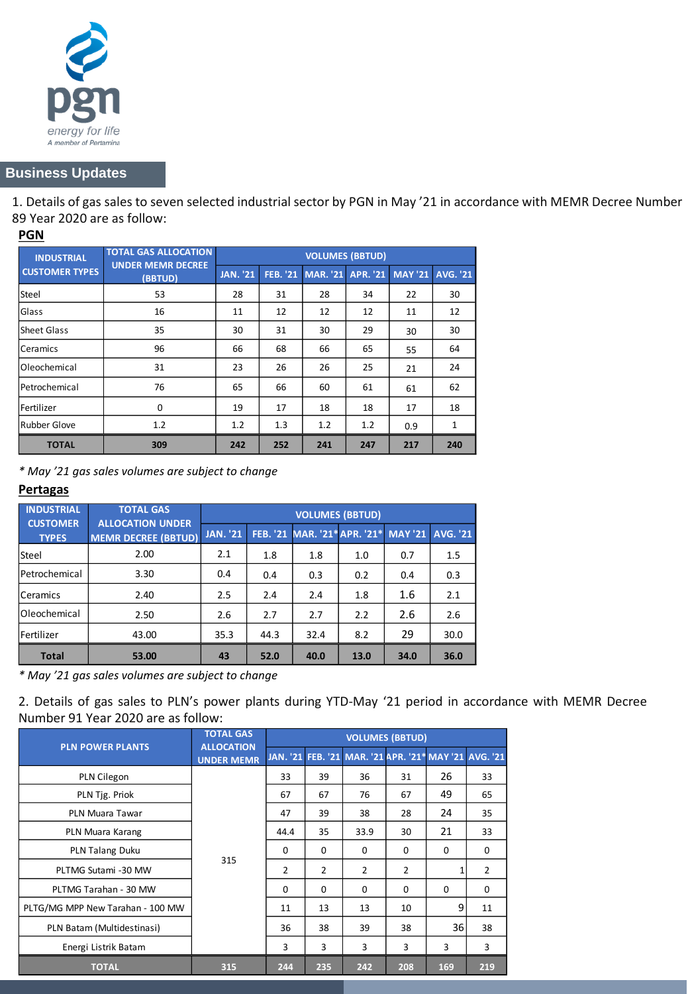

## **Business Updates**

1. Details of gas sales to seven selected industrial sector by PGN in May '21 in accordance with MEMR Decree Number 89 Year 2020 are as follow:

### **PGN**

| <b>INDUSTRIAL</b><br><b>CUSTOMER TYPES</b> | <b>TOTAL GAS ALLOCATION</b><br><b>UNDER MEMR DECREE</b> | <b>VOLUMES (BBTUD)</b> |                 |                 |                 |                |                 |  |  |
|--------------------------------------------|---------------------------------------------------------|------------------------|-----------------|-----------------|-----------------|----------------|-----------------|--|--|
|                                            | (BBTUD)                                                 | <b>JAN. '21</b>        | <b>FEB. '21</b> | <b>MAR.</b> '21 | <b>APR. '21</b> | <b>MAY '21</b> | <b>AVG. '21</b> |  |  |
| Steel                                      | 53                                                      | 28                     | 31              | 28              | 34              | 22             | 30              |  |  |
| Glass                                      | 16                                                      | 11                     | 12              | 12              | 12              | 11             | 12              |  |  |
| Sheet Glass                                | 35                                                      | 30                     | 31              | 30              | 29              | 30             | 30              |  |  |
| Ceramics                                   | 96                                                      | 66                     | 68              | 66              | 65              | 55             | 64              |  |  |
| Oleochemical                               | 31                                                      | 23                     | 26              | 26              | 25              | 21             | 24              |  |  |
| Petrochemical                              | 76                                                      | 65                     | 66              | 60              | 61              | 61             | 62              |  |  |
| Fertilizer                                 | $\Omega$                                                | 19                     | 17              | 18              | 18              | 17             | 18              |  |  |
| <b>Rubber Glove</b>                        | 1.2                                                     | 1.2                    | 1.3             | 1.2             | 1.2             | 0.9            | 1               |  |  |
| <b>TOTAL</b>                               | 309                                                     | 242                    | 252             | 241             | 247             | 217            | 240             |  |  |

*\* May '21 gas sales volumes are subject to change*

### **Pertagas**

| <b>INDUSTRIAL</b>               | <b>TOTAL GAS</b>                                      | <b>VOLUMES (BBTUD)</b> |      |      |                                               |      |      |  |  |
|---------------------------------|-------------------------------------------------------|------------------------|------|------|-----------------------------------------------|------|------|--|--|
| <b>CUSTOMER</b><br><b>TYPES</b> | <b>ALLOCATION UNDER</b><br><b>MEMR DECREE (BBTUD)</b> | <b>JAN. '21'</b>       |      |      | FEB. '21 MAR. '21* APR. '21* MAY '21 AVG. '21 |      |      |  |  |
| <b>Steel</b>                    | 2.00                                                  | 2.1                    | 1.8  | 1.8  | 1.0                                           | 0.7  | 1.5  |  |  |
| Petrochemical                   | 3.30                                                  | 0.4                    | 0.4  | 0.3  | 0.2                                           | 0.4  | 0.3  |  |  |
| <b>Ceramics</b>                 | 2.40                                                  | 2.5                    | 2.4  | 2.4  | 1.8                                           | 1.6  | 2.1  |  |  |
| <b>Oleochemical</b>             | 2.50                                                  | 2.6                    | 2.7  | 2.7  | 2.2                                           | 2.6  | 2.6  |  |  |
| <b>Fertilizer</b>               | 43.00                                                 | 35.3                   | 44.3 | 32.4 | 8.2                                           | 29   | 30.0 |  |  |
| <b>Total</b>                    | 53.00                                                 | 43                     | 52.0 | 40.0 | 13.0                                          | 34.0 | 36.0 |  |  |

*\* May '21 gas sales volumes are subject to change*

2. Details of gas sales to PLN's power plants during YTD-May '21 period in accordance with MEMR Decree Number 91 Year 2020 are as follow:

| <b>PLN_POWER PLANTS</b>          | <b>TOTAL GAS</b><br><b>ALLOCATION</b> | <b>VOLUMES (BBTUD)</b> |                |                                                       |                |          |     |
|----------------------------------|---------------------------------------|------------------------|----------------|-------------------------------------------------------|----------------|----------|-----|
|                                  | <b>UNDER MEMR</b>                     |                        |                | JAN. '21 FEB. '21 MAR. '21 APR. '21* MAY '21 AVG. '21 |                |          |     |
| PLN Cilegon                      |                                       | 33                     | 39             | 36                                                    | 31             | 26       | 33  |
| PLN Tjg. Priok                   |                                       | 67                     | 67             | 76                                                    | 67             | 49       | 65  |
| PLN Muara Tawar                  |                                       | 47                     | 39             | 38                                                    | 28             | 24       | 35  |
| PLN Muara Karang                 | 315                                   | 44.4                   | 35             | 33.9                                                  | 30             | 21       | 33  |
| PLN Talang Duku                  |                                       | $\Omega$               | $\Omega$       | $\Omega$                                              | $\Omega$       | $\Omega$ | 0   |
| PLTMG Sutami -30 MW              |                                       | $\overline{2}$         | $\overline{2}$ | $\mathcal{P}$                                         | $\overline{2}$ |          | 2   |
| PLTMG Tarahan - 30 MW            |                                       | $\Omega$               | $\Omega$       | $\Omega$                                              | $\Omega$       | $\Omega$ | 0   |
| PLTG/MG MPP New Tarahan - 100 MW |                                       | 11                     | 13             | 13                                                    | 10             | 9        | 11  |
| PLN Batam (Multidestinasi)       |                                       | 36                     | 38             | 39                                                    | 38             | 36       | 38  |
| Energi Listrik Batam             |                                       | 3                      | 3              | 3                                                     | 3              | 3        | 3   |
| <b>TOTAL</b>                     | 315                                   | 244                    | 235            | 242                                                   | 208            | 169      | 219 |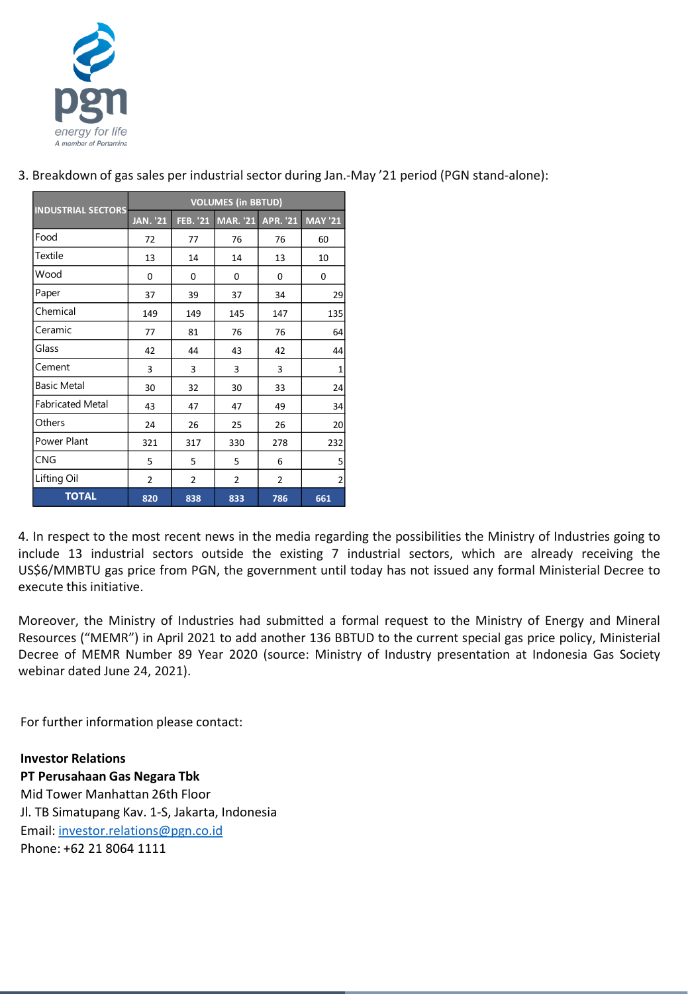

| <b>INDUSTRIAL SECTORS</b> | <b>VOLUMES</b> (in BBTUD) |                 |                   |                |                |  |  |  |
|---------------------------|---------------------------|-----------------|-------------------|----------------|----------------|--|--|--|
|                           | <b>JAN. '21</b>           | <b>FEB. '21</b> | MAR. '21 APR. '21 |                | <b>MAY '21</b> |  |  |  |
| Food                      | 72                        | 77              | 76                | 76             | 60             |  |  |  |
| Textile                   | 13                        | 14              | 14                | 13             | 10             |  |  |  |
| Wood                      | 0                         | 0               | 0                 | 0              | 0              |  |  |  |
| Paper                     | 37                        | 39              | 37                | 34             | 29             |  |  |  |
| Chemical                  | 149                       | 149             | 145               | 147            | 135            |  |  |  |
| Ceramic                   | 77                        | 81              | 76                | 76             | 64             |  |  |  |
| Glass                     | 42                        | 44              | 43                | 42             | 44             |  |  |  |
| Cement                    | 3                         | 3               | 3                 | 3              | $\mathbf{1}$   |  |  |  |
| <b>Basic Metal</b>        | 30                        | 32              | 30                | 33             | 24             |  |  |  |
| <b>Fabricated Metal</b>   | 43                        | 47              | 47                | 49             | 34             |  |  |  |
| Others                    | 24                        | 26              | 25                | 26             | 20             |  |  |  |
| Power Plant               | 321                       | 317             | 330               | 278            | 232            |  |  |  |
| <b>CNG</b>                | 5                         | 5               | 5                 | 6              | 5              |  |  |  |
| Lifting Oil               | $\overline{2}$            | $\overline{2}$  | $\overline{2}$    | $\overline{2}$ | $\overline{2}$ |  |  |  |
| <b>TOTAL</b>              | 820                       | 838             | 833               | 786            | 661            |  |  |  |

3. Breakdown of gas sales per industrial sector during Jan.-May '21 period (PGN stand-alone):

4. In respect to the most recent news in the media regarding the possibilities the Ministry of Industries going to include 13 industrial sectors outside the existing 7 industrial sectors, which are already receiving the US\$6/MMBTU gas price from PGN, the government until today has not issued any formal Ministerial Decree to execute this initiative.

Moreover, the Ministry of Industries had submitted a formal request to the Ministry of Energy and Mineral Resources ("MEMR") in April 2021 to add another 136 BBTUD to the current special gas price policy, Ministerial Decree of MEMR Number 89 Year 2020 (source: Ministry of Industry presentation at Indonesia Gas Society webinar dated June 24, 2021).

For further information please contact:

**Investor Relations PT Perusahaan Gas Negara Tbk**

Mid Tower Manhattan 26th Floor Jl. TB Simatupang Kav. 1-S, Jakarta, Indonesia Email: [investor.relations@pgn.co.id](mailto:investor.relations@pgn.co.id) Phone: +62 21 8064 1111